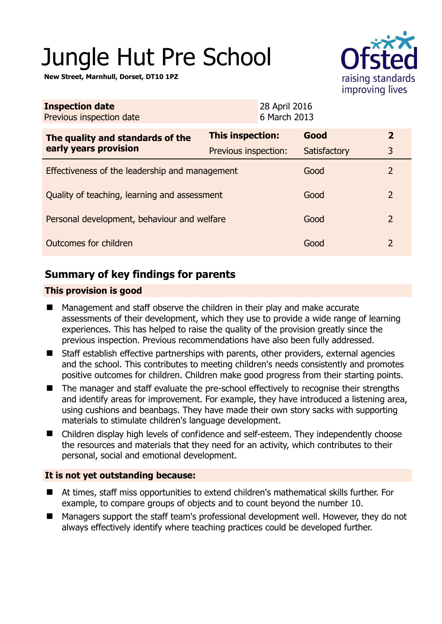# Jungle Hut Pre School

**New Street, Marnhull, Dorset, DT10 1PZ** 



| <b>Inspection date</b><br>Previous inspection date        | 28 April 2016<br>6 March 2013 |              |                |
|-----------------------------------------------------------|-------------------------------|--------------|----------------|
| The quality and standards of the<br>early years provision | This inspection:              | Good         | $\overline{2}$ |
|                                                           | Previous inspection:          | Satisfactory | 3              |
| Effectiveness of the leadership and management            |                               | Good         | 2              |
| Quality of teaching, learning and assessment              |                               | Good         | 2              |
| Personal development, behaviour and welfare               |                               | Good         | $\overline{2}$ |
| Outcomes for children                                     |                               | Good         | 2              |

# **Summary of key findings for parents**

## **This provision is good**

- Management and staff observe the children in their play and make accurate assessments of their development, which they use to provide a wide range of learning experiences. This has helped to raise the quality of the provision greatly since the previous inspection. Previous recommendations have also been fully addressed.
- Staff establish effective partnerships with parents, other providers, external agencies and the school. This contributes to meeting children's needs consistently and promotes positive outcomes for children. Children make good progress from their starting points.
- The manager and staff evaluate the pre-school effectively to recognise their strengths and identify areas for improvement. For example, they have introduced a listening area, using cushions and beanbags. They have made their own story sacks with supporting materials to stimulate children's language development.
- Children display high levels of confidence and self-esteem. They independently choose the resources and materials that they need for an activity, which contributes to their personal, social and emotional development.

## **It is not yet outstanding because:**

- At times, staff miss opportunities to extend children's mathematical skills further. For example, to compare groups of objects and to count beyond the number 10.
- Managers support the staff team's professional development well. However, they do not always effectively identify where teaching practices could be developed further.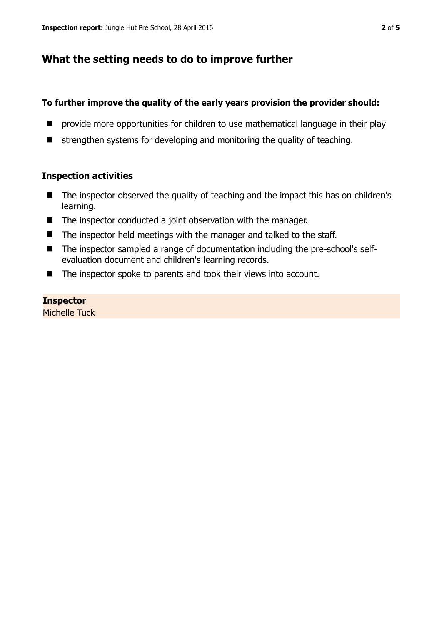## **What the setting needs to do to improve further**

### **To further improve the quality of the early years provision the provider should:**

- **P** provide more opportunities for children to use mathematical language in their play
- $\blacksquare$  strengthen systems for developing and monitoring the quality of teaching.

### **Inspection activities**

- The inspector observed the quality of teaching and the impact this has on children's learning.
- The inspector conducted a joint observation with the manager.
- $\blacksquare$  The inspector held meetings with the manager and talked to the staff.
- The inspector sampled a range of documentation including the pre-school's selfevaluation document and children's learning records.
- The inspector spoke to parents and took their views into account.

## **Inspector**

Michelle Tuck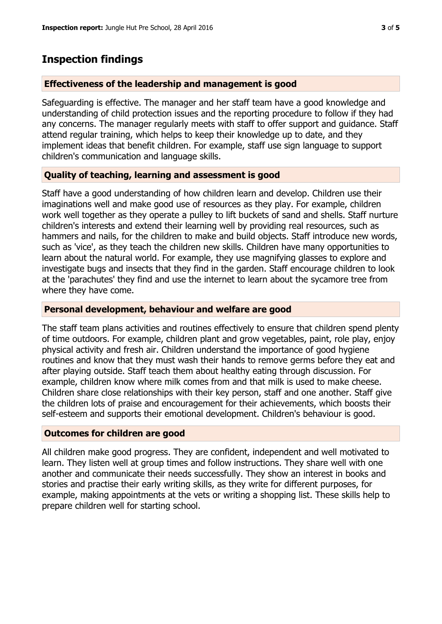## **Inspection findings**

#### **Effectiveness of the leadership and management is good**

Safeguarding is effective. The manager and her staff team have a good knowledge and understanding of child protection issues and the reporting procedure to follow if they had any concerns. The manager regularly meets with staff to offer support and guidance. Staff attend regular training, which helps to keep their knowledge up to date, and they implement ideas that benefit children. For example, staff use sign language to support children's communication and language skills.

### **Quality of teaching, learning and assessment is good**

Staff have a good understanding of how children learn and develop. Children use their imaginations well and make good use of resources as they play. For example, children work well together as they operate a pulley to lift buckets of sand and shells. Staff nurture children's interests and extend their learning well by providing real resources, such as hammers and nails, for the children to make and build objects. Staff introduce new words, such as 'vice', as they teach the children new skills. Children have many opportunities to learn about the natural world. For example, they use magnifying glasses to explore and investigate bugs and insects that they find in the garden. Staff encourage children to look at the 'parachutes' they find and use the internet to learn about the sycamore tree from where they have come.

#### **Personal development, behaviour and welfare are good**

The staff team plans activities and routines effectively to ensure that children spend plenty of time outdoors. For example, children plant and grow vegetables, paint, role play, enjoy physical activity and fresh air. Children understand the importance of good hygiene routines and know that they must wash their hands to remove germs before they eat and after playing outside. Staff teach them about healthy eating through discussion. For example, children know where milk comes from and that milk is used to make cheese. Children share close relationships with their key person, staff and one another. Staff give the children lots of praise and encouragement for their achievements, which boosts their self-esteem and supports their emotional development. Children's behaviour is good.

#### **Outcomes for children are good**

All children make good progress. They are confident, independent and well motivated to learn. They listen well at group times and follow instructions. They share well with one another and communicate their needs successfully. They show an interest in books and stories and practise their early writing skills, as they write for different purposes, for example, making appointments at the vets or writing a shopping list. These skills help to prepare children well for starting school.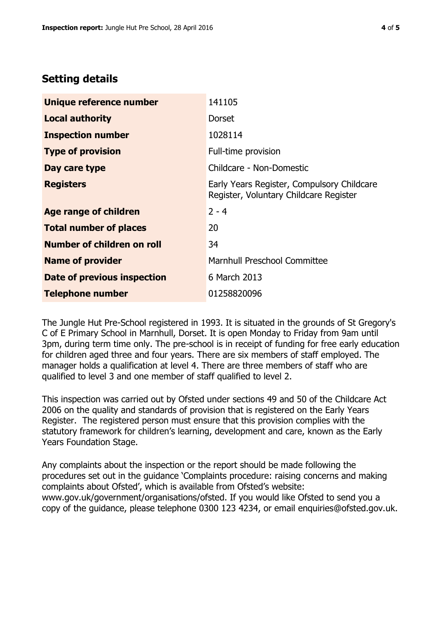## **Setting details**

| Unique reference number       | 141105                                                                               |  |
|-------------------------------|--------------------------------------------------------------------------------------|--|
| <b>Local authority</b>        | <b>Dorset</b>                                                                        |  |
| <b>Inspection number</b>      | 1028114                                                                              |  |
| <b>Type of provision</b>      | Full-time provision                                                                  |  |
| Day care type                 | Childcare - Non-Domestic                                                             |  |
| <b>Registers</b>              | Early Years Register, Compulsory Childcare<br>Register, Voluntary Childcare Register |  |
| <b>Age range of children</b>  | $2 - 4$                                                                              |  |
| <b>Total number of places</b> | 20                                                                                   |  |
| Number of children on roll    | 34                                                                                   |  |
| <b>Name of provider</b>       | Marnhull Preschool Committee                                                         |  |
| Date of previous inspection   | 6 March 2013                                                                         |  |
| <b>Telephone number</b>       | 01258820096                                                                          |  |

The Jungle Hut Pre-School registered in 1993. It is situated in the grounds of St Gregory's C of E Primary School in Marnhull, Dorset. It is open Monday to Friday from 9am until 3pm, during term time only. The pre-school is in receipt of funding for free early education for children aged three and four years. There are six members of staff employed. The manager holds a qualification at level 4. There are three members of staff who are qualified to level 3 and one member of staff qualified to level 2.

This inspection was carried out by Ofsted under sections 49 and 50 of the Childcare Act 2006 on the quality and standards of provision that is registered on the Early Years Register. The registered person must ensure that this provision complies with the statutory framework for children's learning, development and care, known as the Early Years Foundation Stage.

Any complaints about the inspection or the report should be made following the procedures set out in the guidance 'Complaints procedure: raising concerns and making complaints about Ofsted', which is available from Ofsted's website: www.gov.uk/government/organisations/ofsted. If you would like Ofsted to send you a copy of the guidance, please telephone 0300 123 4234, or email enquiries@ofsted.gov.uk.